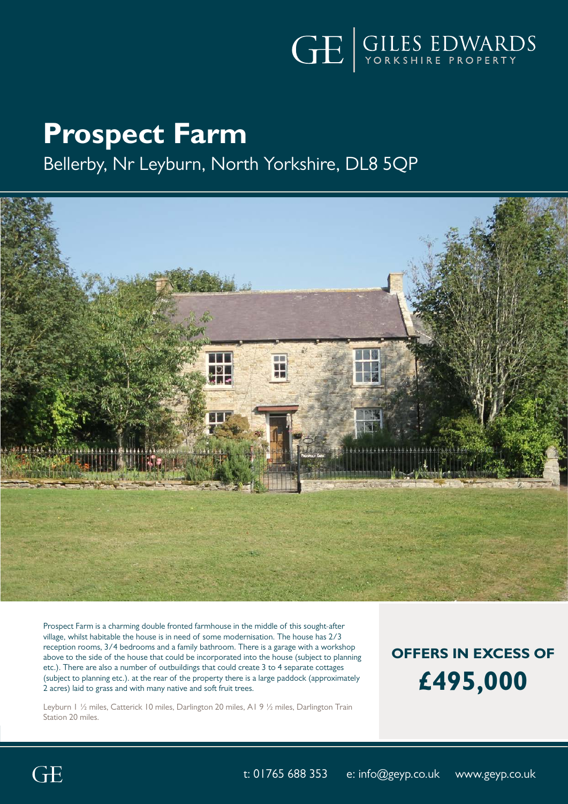

# **Prospect Farm**

Bellerby, Nr Leyburn, North Yorkshire, DL8 5QP



Prospect Farm is a charming double fronted farmhouse in the middle of this sought-after village, whilst habitable the house is in need of some modernisation. The house has 2/3 reception rooms, 3/4 bedrooms and a family bathroom. There is a garage with a workshop above to the side of the house that could be incorporated into the house (subject to planning etc.). There are also a number of outbuildings that could create 3 to 4 separate cottages (subject to planning etc.). at the rear of the property there is a large paddock (approximately 2 acres) laid to grass and with many native and soft fruit trees.

Leyburn 1 ½ miles, Catterick 10 miles, Darlington 20 miles, A1 9 ½ miles, Darlington Train Station 20 miles.

## **OFFERS IN EXCESS OF £495,000**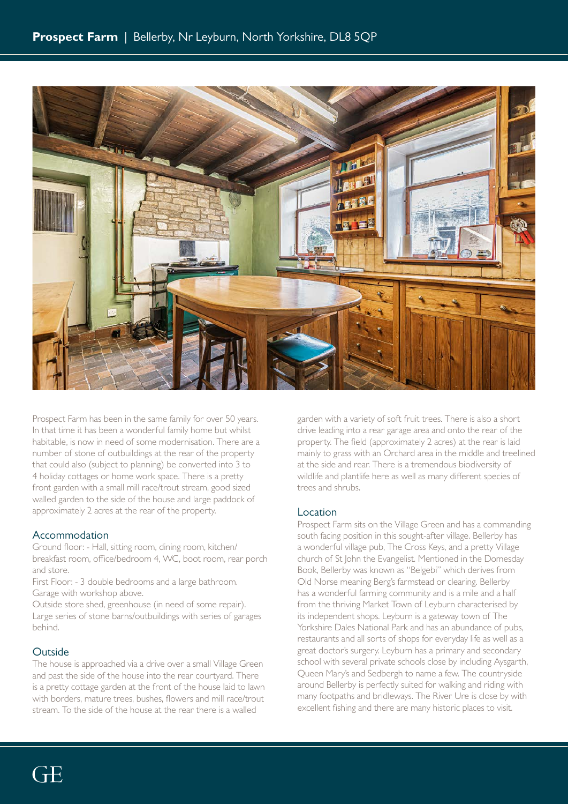

Prospect Farm has been in the same family for over 50 years. In that time it has been a wonderful family home but whilst habitable, is now in need of some modernisation. There are a number of stone of outbuildings at the rear of the property that could also (subject to planning) be converted into 3 to 4 holiday cottages or home work space. There is a pretty front garden with a small mill race/trout stream, good sized walled garden to the side of the house and large paddock of approximately 2 acres at the rear of the property.

#### Accommodation

Ground floor: - Hall, sitting room, dining room, kitchen/ breakfast room, office/bedroom 4, WC, boot room, rear porch and store.

First Floor: - 3 double bedrooms and a large bathroom. Garage with workshop above.

Outside store shed, greenhouse (in need of some repair). Large series of stone barns/outbuildings with series of garages behind.

#### Outside

The house is approached via a drive over a small Village Green and past the side of the house into the rear courtyard. There is a pretty cottage garden at the front of the house laid to lawn with borders, mature trees, bushes, flowers and mill race/trout stream. To the side of the house at the rear there is a walled

garden with a variety of soft fruit trees. There is also a short drive leading into a rear garage area and onto the rear of the property. The field (approximately 2 acres) at the rear is laid mainly to grass with an Orchard area in the middle and treelined at the side and rear. There is a tremendous biodiversity of wildlife and plantlife here as well as many different species of trees and shrubs.

#### Location

Prospect Farm sits on the Village Green and has a commanding south facing position in this sought-after village. Bellerby has a wonderful village pub, The Cross Keys, and a pretty Village church of St John the Evangelist. Mentioned in the Domesday Book, Bellerby was known as "Belgebi" which derives from Old Norse meaning Berg's farmstead or clearing. Bellerby has a wonderful farming community and is a mile and a half from the thriving Market Town of Leyburn characterised by its independent shops. Leyburn is a gateway town of The Yorkshire Dales National Park and has an abundance of pubs, restaurants and all sorts of shops for everyday life as well as a great doctor's surgery. Leyburn has a primary and secondary school with several private schools close by including Aysgarth, Queen Mary's and Sedbergh to name a few. The countryside around Bellerby is perfectly suited for walking and riding with many footpaths and bridleways. The River Ure is close by with excellent fishing and there are many historic places to visit.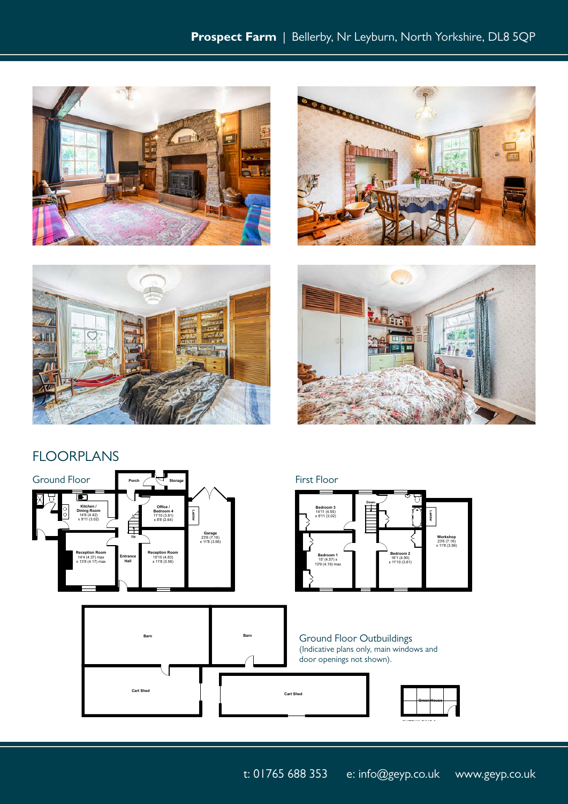





**Down**

**FIRST FLOOR**



### **FIRST FLOOR** FLOORPLANS



Figure , with RICS Produced in accordance with RICS Produced incorporation  $\mathcal{L}$ International Property Measurement Standards (IPMS2 Residential). © 2021.

**OUTBUILDING 3**